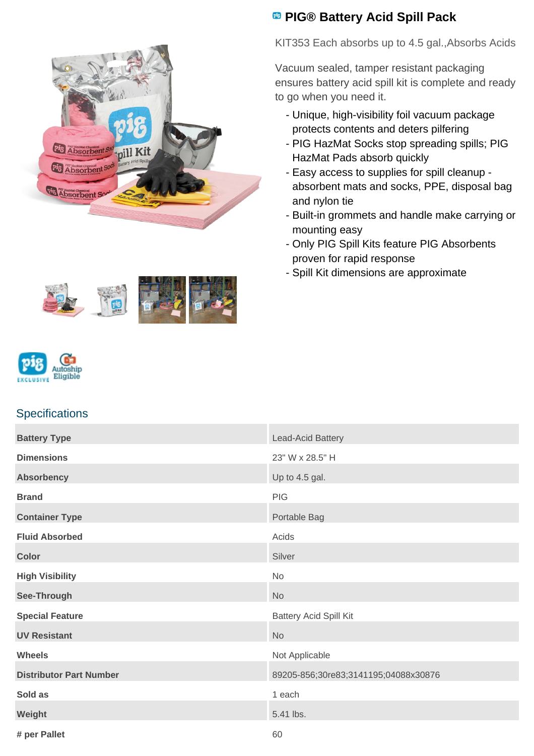

## **<sup><b>B</sup>** PIG® Battery Acid Spill Pack</sup>

KIT353 Each absorbs up to 4.5 gal.,Absorbs Acids

Vacuum sealed, tamper resistant packaging ensures battery acid spill kit is complete and ready to go when you need it.

- Unique, high-visibility foil vacuum package protects contents and deters pilfering
- PIG HazMat Socks stop spreading spills; PIG HazMat Pads absorb quickly
- Easy access to supplies for spill cleanup absorbent mats and socks, PPE, disposal bag and nylon tie
- Built-in grommets and handle make carrying or mounting easy
- Only PIG Spill Kits feature PIG Absorbents proven for rapid response
- Spill Kit dimensions are approximate



## **Specifications**

| <b>Battery Type</b>            | Lead-Acid Battery                    |
|--------------------------------|--------------------------------------|
| <b>Dimensions</b>              | 23" W x 28.5" H                      |
| <b>Absorbency</b>              | Up to 4.5 gal.                       |
| <b>Brand</b>                   | PIG                                  |
| <b>Container Type</b>          | Portable Bag                         |
| <b>Fluid Absorbed</b>          | Acids                                |
| <b>Color</b>                   | Silver                               |
| <b>High Visibility</b>         | No                                   |
| See-Through                    | <b>No</b>                            |
| <b>Special Feature</b>         | <b>Battery Acid Spill Kit</b>        |
| <b>UV Resistant</b>            | <b>No</b>                            |
| <b>Wheels</b>                  | Not Applicable                       |
| <b>Distributor Part Number</b> | 89205-856;30re83;3141195;04088x30876 |
| Sold as                        | 1 each                               |
| Weight                         | 5.41 lbs.                            |
| # per Pallet                   | 60                                   |